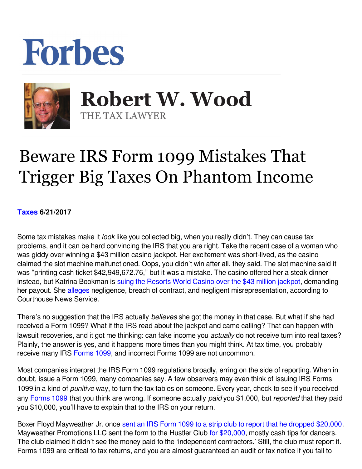## Forbes



 **Robert W. Wood** THE TAX LAWYER

## Beware IRS Form 1099 Mistakes That Trigger Big Taxes On Phantom Income

**[Taxes](https://www.forbes.com/taxes) 6/21/2017** 

Some tax mistakes make it *look* like you collected big, when you really didn't. They can cause tax problems, and it can be hard convincing the IRS that you are right. Take the recent case of a woman who was giddy over winning a \$43 million casino jackpot. Her excitement was short-lived, as the casino claimed the slot machine malfunctioned. Oops, you didn't win after all, they said. The slot machine said it was "printing cash ticket \$42,949,672.76," but it was a mistake. The casino offered her a steak dinner instead, but Katrina Bookman is [suing the Resorts World Casino over the \\$43 million jackpot](https://www.yahoo.com/finance/m/d68f023a-917c-3e96-b524-8b08b83915cc/ss_woman-sues-casino-that.html), demanding herpayout. She alleges negligence, breach of contract, and negligent misrepresentation, according to Courthouse News Service.

There's no suggestion that the IRS actually *believes* she got the money in that case. But what if she had received a Form 1099? What if the IRS read about the jackpot and came calling? That can happen with lawsuit recoveries, and it got me thinking: can fake income you *actually* do not receive turn into real taxes? Plainly, the answer is yes, and it happens more times than you might think. At tax time, you probably receive many IRS [Forms 1099,](https://www.irs.gov/uac/about-form-1099misc) and incorrect Forms 1099 are not uncommon.

Most companies interpret the IRS Form 1099 regulations broadly, erring on the side of reporting. When in doubt, issue a Form 1099, many companies say. A few observers may even think of issuing IRS Forms 1099 in a kind of *punitive* way, to turn the tax tables on someone. Every year, check to see if you received any [Forms 1099](https://www.irs.gov/uac/about-form-1099misc) that you think are wrong. If someone actually paid you \$1,000, but reported that they paid you \$10,000, you'll have to explain that to the IRS on your return.

Boxer Floyd Mayweather Jr. once [sent an IRS Form 1099 to a strip club to report that he dropped \\$20,000.](http://taxprof.typepad.com/taxprof_blog/2016/06/floyd-mayweather-sends-form-1099-to-strip-club-after-making-it-rain-20000.html) Mayweather Promotions LLC sent the form to the Hustler Club [for \\$20,000,](http://www.dailymail.co.uk/news/article-3656734/Floyd-Mayweather-slaps-Las-Vegas-strip-club-tax-bill-spending-20-000-making-rain-nearly-naked-strippers-leaving-without-tipping-waitress.html) mostly cash tips for dancers. The club claimed it didn't see the money paid to the 'independent contractors.' Still, the club must report it. Forms 1099 are critical to tax returns, and you are almost guaranteed an audit or tax notice if you fail to